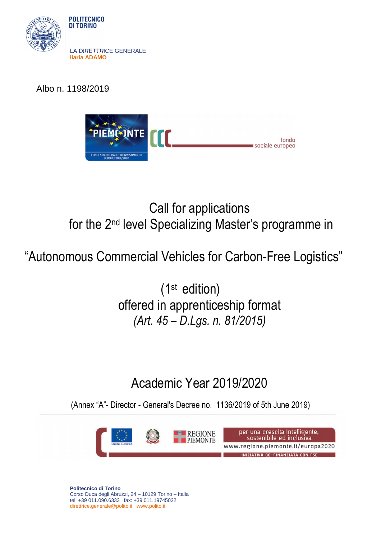

Albo n. 1198/2019



# Call for applications for the 2nd level Specializing Master's programme in

"Autonomous Commercial Vehicles for Carbon-Free Logistics"

(1st edition) offered in apprenticeship format *(Art. 45 – D.Lgs. n. 81/2015)* 

# Academic Year 2019/2020

(Annex "A"- Director - General's Decree no. 1136/2019 of 5th June 2019)



**Politecnico di Torino**  Corso Duca degli Abruzzi, 24 – 10129 Torino – Italia tel: +39 011.090.6333 fax: +39 011.19745022 direttrice.generale@polito.it www.polito.it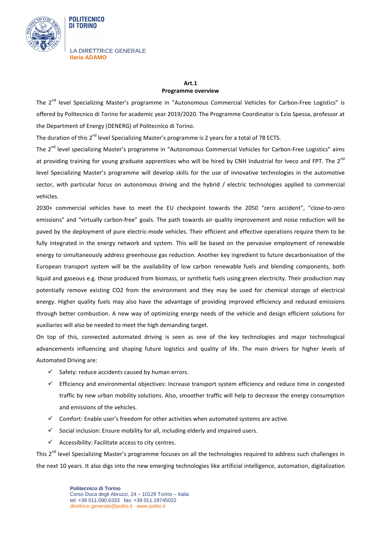

**POLITECNICO** DI TORINO

## **Art.1**

#### **Programme overview**

The 2<sup>nd</sup> level Specializing Master's programme in "Autonomous Commercial Vehicles for Carbon-Free Logistics" is offered by Politecnico di Torino for academic year 2019/2020. The Programme Coordinator is Ezio Spessa, professor at the Department of Energy (DENERG) of Politecnico di Torino.

The duration of this  $2^{nd}$  level Specializing Master's programme is 2 years for a total of 78 ECTS.

The 2<sup>nd</sup> level specializing Master's programme in "Autonomous Commercial Vehicles for Carbon-Free Logistics" aims at providing training for young graduate apprentices who will be hired by CNH Industrial for Iveco and FPT. The 2<sup>nd</sup> level Specializing Master's programme will develop skills for the use of innovative technologies in the automotive sector, with particular focus on autonomous driving and the hybrid / electric technologies applied to commercial vehicles.

2030+ commercial vehicles have to meet the EU checkpoint towards the 2050 "zero accident", "close-to-zero emissions" and "virtually carbon-free" goals. The path towards air quality improvement and noise reduction will be paved by the deployment of pure electric-mode vehicles. Their efficient and effective operations require them to be fully integrated in the energy network and system. This will be based on the pervasive employment of renewable energy to simultaneously address greenhouse gas reduction. Another key ingredient to future decarbonisation of the European transport system will be the availability of low carbon renewable fuels and blending components, both liquid and gaseous e.g. those produced from biomass, or synthetic fuels using green electricity. Their production may potentially remove existing CO2 from the environment and they may be used for chemical storage of electrical energy. Higher quality fuels may also have the advantage of providing improved efficiency and reduced emissions through better combustion. A new way of optimizing energy needs of the vehicle and design efficient solutions for auxiliaries will also be needed to meet the high demanding target.

On top of this, connected automated driving is seen as one of the key technologies and major technological advancements influencing and shaping future logistics and quality of life. The main drivers for higher levels of Automated Driving are:

- $\checkmark$  Safety: reduce accidents caused by human errors.
- $\checkmark$  Efficiency and environmental objectives: Increase transport system efficiency and reduce time in congested traffic by new urban mobility solutions. Also, smoother traffic will help to decrease the energy consumption and emissions of the vehicles.
- $\checkmark$  Comfort: Enable user's freedom for other activities when automated systems are active.
- $\checkmark$  Social inclusion: Ensure mobility for all, including elderly and impaired users.
- $\checkmark$  Accessibility: Facilitate access to city centres.

This 2<sup>nd</sup> level Specializing Master's programme focuses on all the technologies required to address such challenges in the next 10 years. It also digs into the new emerging technologies like artificial intelligence, automation, digitalization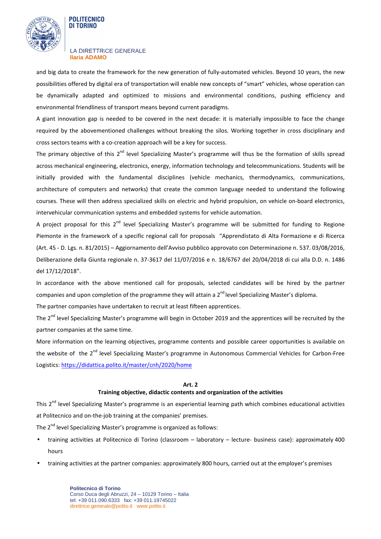

#### **POLITECNICO** DI TORINO

#### LA DIRETTRICE GENERALE **Ilaria ADAMO**

and big data to create the framework for the new generation of fully-automated vehicles. Beyond 10 years, the new possibilities offered by digital era of transportation will enable new concepts of "smart" vehicles, whose operation can be dynamically adapted and optimized to missions and environmental conditions, pushing efficiency and environmental friendliness of transport means beyond current paradigms.

A giant innovation gap is needed to be covered in the next decade: it is materially impossible to face the change required by the abovementioned challenges without breaking the silos. Working together in cross disciplinary and cross sectors teams with a co-creation approach will be a key for success.

The primary objective of this  $2^{nd}$  level Specializing Master's programme will thus be the formation of skills spread across mechanical engineering, electronics, energy, information technology and telecommunications. Students will be initially provided with the fundamental disciplines (vehicle mechanics, thermodynamics, communications, architecture of computers and networks) that create the common language needed to understand the following courses. These will then address specialized skills on electric and hybrid propulsion, on vehicle on-board electronics, intervehicular communication systems and embedded systems for vehicle automation.

A project proposal for this  $2^{nd}$  level Specializing Master's programme will be submitted for funding to Regione Piemonte in the framework of a specific regional call for proposals "Apprendistato di Alta Formazione e di Ricerca (Art. 45 - D. Lgs. n. 81/2015) – Aggiornamento dell'Avviso pubblico approvato con Determinazione n. 537. 03/08/2016, Deliberazione della Giunta regionale n. 37-3617 del 11/07/2016 e n. 18/6767 del 20/04/2018 di cui alla D.D. n. 1486 del 17/12/2018".

In accordance with the above mentioned call for proposals, selected candidates will be hired by the partner companies and upon completion of the programme they will attain a  $2<sup>nd</sup>$  level Specializing Master's diploma.

The partner companies have undertaken to recruit at least fifteen apprentices.

The 2<sup>nd</sup> level Specializing Master's programme will begin in October 2019 and the apprentices will be recruited by the partner companies at the same time.

More information on the learning objectives, programme contents and possible career opportunities is available on the website of the 2<sup>nd</sup> level Specializing Master's programme in Autonomous Commercial Vehicles for Carbon-Free Logistics: https://didattica.polito.it/master/cnh/2020/home

### **Art. 2**

### **Training objective, didactic contents and organization of the activities**

This 2<sup>nd</sup> level Specializing Master's programme is an experiential learning path which combines educational activities at Politecnico and on-the-job training at the companies' premises.

The 2<sup>nd</sup> level Specializing Master's programme is organized as follows:

- training activities at Politecnico di Torino (classroom laboratory lecture- business case): approximately 400 hours
- training activities at the partner companies: approximately 800 hours, carried out at the employer's premises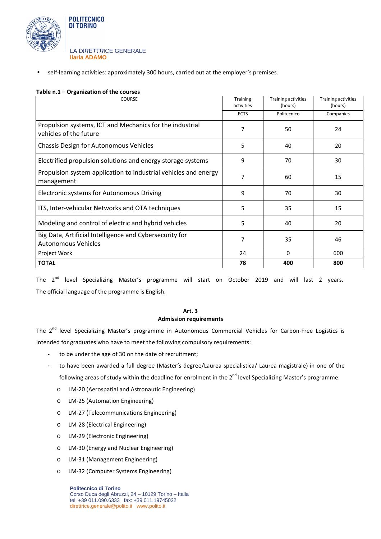

• self-learning activities: approximately 300 hours, carried out at the employer's premises.

### **Table n.1 – Organization of the courses**

| <b>COURSE</b>                                                                         | <b>Training</b><br>activities | Training activities<br>(hours) | Training activities<br>(hours) |
|---------------------------------------------------------------------------------------|-------------------------------|--------------------------------|--------------------------------|
|                                                                                       | <b>ECTS</b>                   | Politecnico                    | Companies                      |
| Propulsion systems, ICT and Mechanics for the industrial<br>vehicles of the future    | 7                             | 50                             | 24                             |
| Chassis Design for Autonomous Vehicles                                                | 5                             | 40                             | 20                             |
| Electrified propulsion solutions and energy storage systems                           | 9                             | 70                             | 30                             |
| Propulsion system application to industrial vehicles and energy<br>management         | 7                             | 60                             | 15                             |
| Electronic systems for Autonomous Driving                                             | 9                             | 70                             | 30                             |
| ITS, Inter-vehicular Networks and OTA techniques                                      | 5                             | 35                             | 15                             |
| Modeling and control of electric and hybrid vehicles                                  | 5                             | 40                             | 20                             |
| Big Data, Artificial Intelligence and Cybersecurity for<br><b>Autonomous Vehicles</b> | 7                             | 35                             | 46                             |
| Project Work                                                                          | 24                            | 0                              | 600                            |
| <b>TOTAL</b>                                                                          | 78                            | 400                            | 800                            |

The 2<sup>nd</sup> level Specializing Master's programme will start on October 2019 and will last 2 years. The official language of the programme is English.

### **Art. 3 Admission requirements**

The 2<sup>nd</sup> level Specializing Master's programme in Autonomous Commercial Vehicles for Carbon-Free Logistics is intended for graduates who have to meet the following compulsory requirements:

- to be under the age of 30 on the date of recruitment;
- to have been awarded a full degree (Master's degree/Laurea specialistica/ Laurea magistrale) in one of the following areas of study within the deadline for enrolment in the  $2^{nd}$  level Specializing Master's programme:
	- o LM-20 (Aerospatial and Astronautic Engineering)
	- o LM-25 (Automation Engineering)
	- o LM-27 (Telecommunications Engineering)
	- o LM-28 (Electrical Engineering)
	- o LM-29 (Electronic Engineering)
	- o LM-30 (Energy and Nuclear Engineering)
	- o LM-31 (Management Engineering)
	- o LM-32 (Computer Systems Engineering)

**Politecnico di Torino**  Corso Duca degli Abruzzi, 24 – 10129 Torino – Italia tel: +39 011.090.6333 fax: +39 011.19745022 direttrice.generale@polito.it www.polito.it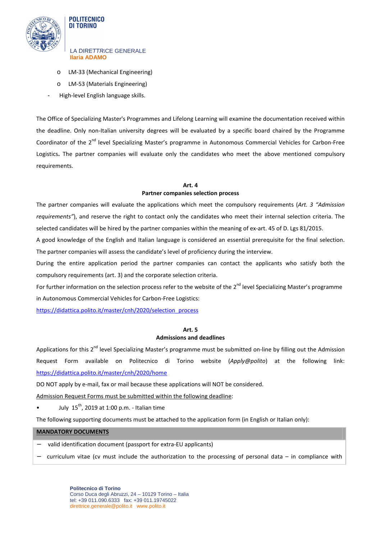

**POLITECNICO DI TORINO** 

- o LM-33 (Mechanical Engineering)
- o LM-53 (Materials Engineering)
- High-level English language skills.

The Office of Specializing Master's Programmes and Lifelong Learning will examine the documentation received within the deadline. Only non-Italian university degrees will be evaluated by a specific board chaired by the Programme Coordinator of the 2<sup>nd</sup> level Specializing Master's programme in Autonomous Commercial Vehicles for Carbon-Free Logistics**.** The partner companies will evaluate only the candidates who meet the above mentioned compulsory requirements.

# **Art. 4**

## **Partner companies selection process**

The partner companies will evaluate the applications which meet the compulsory requirements (*Art. 3 "Admission requirements"*), and reserve the right to contact only the candidates who meet their internal selection criteria. The selected candidates will be hired by the partner companies within the meaning of ex-art. 45 of D. Lgs 81/2015.

A good knowledge of the English and Italian language is considered an essential prerequisite for the final selection. The partner companies will assess the candidate's level of proficiency during the interview.

During the entire application period the partner companies can contact the applicants who satisfy both the compulsory requirements (art. 3) and the corporate selection criteria.

For further information on the selection process refer to the website of the 2<sup>nd</sup> level Specializing Master's programme in Autonomous Commercial Vehicles for Carbon-Free Logistics:

https://didattica.polito.it/master/cnh/2020/selection\_process

## **Art. 5 Admissions and deadlines**

Applications for this 2<sup>nd</sup> level Specializing Master's programme must be submitted on-line by filling out the Admission Request Form available on Politecnico di Torino website (*Apply@polito*) at the following link: https://didattica.polito.it/master/cnh/2020/home

DO NOT apply by e-mail, fax or mail because these applications will NOT be considered.

Admission Request Forms must be submitted within the following deadline:

• July  $15^{th}$ , 2019 at 1:00 p.m. - Italian time

The following supporting documents must be attached to the application form (in English or Italian only):

### **MANDATORY DOCUMENTS**

- valid identification document (passport for extra-EU applicants)
- − curriculum vitae (cv must include the authorization to the processing of personal data in compliance with

**Politecnico di Torino**  Corso Duca degli Abruzzi, 24 – 10129 Torino – Italia tel: +39 011.090.6333 fax: +39 011.19745022 direttrice.generale@polito.it www.polito.it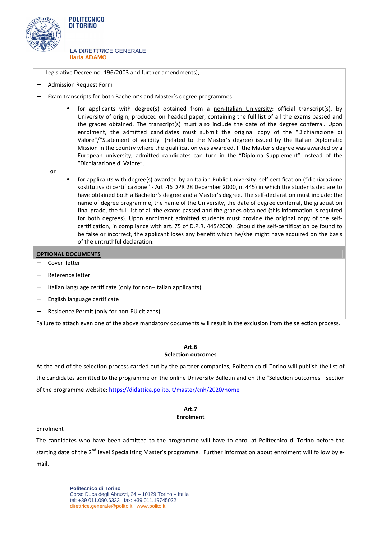

Legislative Decree no. 196/2003 and further amendments);

- − Admission Request Form
- − Exam transcripts for both Bachelor's and Master's degree programmes:
	- for applicants with degree(s) obtained from a non-Italian University: official transcript(s), by University of origin, produced on headed paper, containing the full list of all the exams passed and the grades obtained. The transcript(s) must also include the date of the degree conferral. Upon enrolment, the admitted candidates must submit the original copy of the "Dichiarazione di Valore"/"Statement of validity" (related to the Master's degree) issued by the Italian Diplomatic Mission in the country where the qualification was awarded. If the Master's degree was awarded by a European university, admitted candidates can turn in the "Diploma Supplement" instead of the "Dichiarazione di Valore".

or

• for applicants with degree(s) awarded by an Italian Public University: self-certification ("dichiarazione sostitutiva di certificazione" - Art. 46 DPR 28 December 2000, n. 445) in which the students declare to have obtained both a Bachelor's degree and a Master's degree. The self-declaration must include: the name of degree programme, the name of the University, the date of degree conferral, the graduation final grade, the full list of all the exams passed and the grades obtained (this information is required for both degrees). Upon enrolment admitted students must provide the original copy of the selfcertification, in compliance with art. 75 of D.P.R. 445/2000. Should the self-certification be found to be false or incorrect, the applicant loses any benefit which he/she might have acquired on the basis of the untruthful declaration.

### **OPTIONAL DOCUMENTS**

- − Cover letter
- − Reference letter
- − Italian language certificate (only for non–Italian applicants)
- − English language certificate
- − Residence Permit (only for non-EU citizens)

Failure to attach even one of the above mandatory documents will result in the exclusion from the selection process.

## **Art.6**

#### **Selection outcomes**

At the end of the selection process carried out by the partner companies, Politecnico di Torino will publish the list of the candidates admitted to the programme on the online University Bulletin and on the "Selection outcomes" section of the programme website: https://didattica.polito.it/master/cnh/2020/home

## **Art.7 Enrolment**

#### Enrolment

The candidates who have been admitted to the programme will have to enrol at Politecnico di Torino before the starting date of the 2<sup>nd</sup> level Specializing Master's programme. Further information about enrolment will follow by email.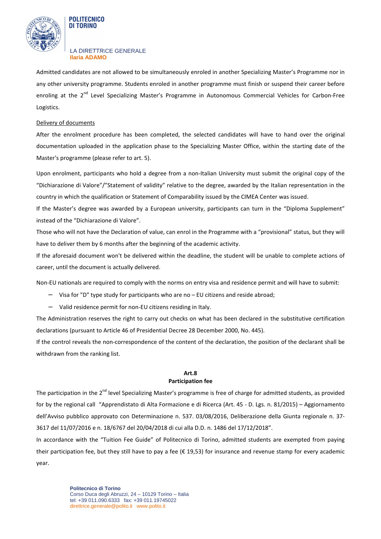

#### **POLITECNICO** DI TORINO

#### LA DIRETTRICE GENERALE **Ilaria ADAMO**

Admitted candidates are not allowed to be simultaneously enroled in another Specializing Master's Programme nor in any other university programme. Students enroled in another programme must finish or suspend their career before enroling at the 2<sup>nd</sup> Level Specializing Master's Programme in Autonomous Commercial Vehicles for Carbon-Free Logistics.

### Delivery of documents

After the enrolment procedure has been completed, the selected candidates will have to hand over the original documentation uploaded in the application phase to the Specializing Master Office, within the starting date of the Master's programme (please refer to art. 5).

Upon enrolment, participants who hold a degree from a non-Italian University must submit the original copy of the "Dichiarazione di Valore"/"Statement of validity" relative to the degree, awarded by the Italian representation in the country in which the qualification or Statement of Comparability issued by the CIMEA Center was issued.

If the Master's degree was awarded by a European university, participants can turn in the "Diploma Supplement" instead of the "Dichiarazione di Valore".

Those who will not have the Declaration of value, can enrol in the Programme with a "provisional" status, but they will have to deliver them by 6 months after the beginning of the academic activity.

If the aforesaid document won't be delivered within the deadline, the student will be unable to complete actions of career, until the document is actually delivered.

Non-EU nationals are required to comply with the norms on entry visa and residence permit and will have to submit:

- − Visa for "D" type study for participants who are no EU citizens and reside abroad;
- − Valid residence permit for non-EU citizens residing in Italy.

The Administration reserves the right to carry out checks on what has been declared in the substitutive certification declarations (pursuant to Article 46 of Presidential Decree 28 December 2000, No. 445).

If the control reveals the non-correspondence of the content of the declaration, the position of the declarant shall be withdrawn from the ranking list.

### **Art.8 Participation fee**

The participation in the 2<sup>nd</sup> level Specializing Master's programme is free of charge for admitted students, as provided for by the regional call "Apprendistato di Alta Formazione e di Ricerca (Art. 45 - D. Lgs. n. 81/2015) – Aggiornamento dell'Avviso pubblico approvato con Determinazione n. 537. 03/08/2016, Deliberazione della Giunta regionale n. 37- 3617 del 11/07/2016 e n. 18/6767 del 20/04/2018 di cui alla D.D. n. 1486 del 17/12/2018".

In accordance with the "Tuition Fee Guide" of Politecnico di Torino, admitted students are exempted from paying their participation fee, but they still have to pay a fee ( $\epsilon$  19,53) for insurance and revenue stamp for every academic year.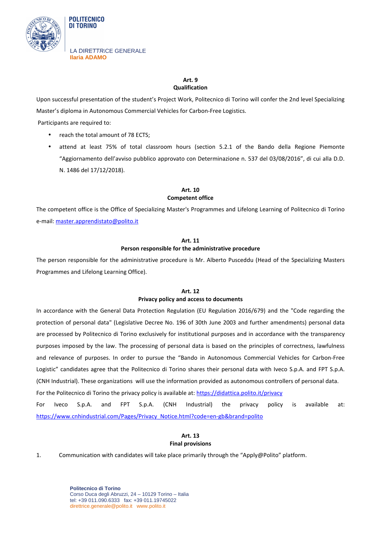

LA DIRETTRICE GENERALE

**POLITECNICO DI TORINO** 

**Ilaria ADAMO** 

#### **Art. 9 Qualification**

Upon successful presentation of the student's Project Work, Politecnico di Torino will confer the 2nd level Specializing Master's diploma in Autonomous Commercial Vehicles for Carbon-Free Logistics.

Participants are required to:

- reach the total amount of 78 ECTS;
- attend at least 75% of total classroom hours (section 5.2.1 of the Bando della Regione Piemonte "Aggiornamento dell'avviso pubblico approvato con Determinazione n. 537 del 03/08/2016", di cui alla D.D. N. 1486 del 17/12/2018).

## **Art. 10 Competent office**

The competent office is the Office of Specializing Master's Programmes and Lifelong Learning of Politecnico di Torino e-mail: master.apprendistato@polito.it

## **Art. 11 Person responsible for the administrative procedure**

The person responsible for the administrative procedure is Mr. Alberto Pusceddu (Head of the Specializing Masters Programmes and Lifelong Learning Office).

### **Art. 12**

### **Privacy policy and access to documents**

In accordance with the General Data Protection Regulation (EU Regulation 2016/679) and the "Code regarding the protection of personal data" (Legislative Decree No. 196 of 30th June 2003 and further amendments) personal data are processed by Politecnico di Torino exclusively for institutional purposes and in accordance with the transparency purposes imposed by the law. The processing of personal data is based on the principles of correctness, lawfulness and relevance of purposes. In order to pursue the "Bando in Autonomous Commercial Vehicles for Carbon-Free Logistic" candidates agree that the Politecnico di Torino shares their personal data with Iveco S.p.A. and FPT S.p.A. (CNH Industrial). These organizations will use the information provided as autonomous controllers of personal data.

For the Politecnico di Torino the privacy policy is available at: https://didattica.polito.it/privacy

For Iveco S.p.A. and FPT S.p.A. (CNH Industrial) the privacy policy is available at: https://www.cnhindustrial.com/Pages/Privacy\_Notice.html?code=en-gb&brand=polito

## **Art. 13 Final provisions**

1. Communication with candidates will take place primarily through the "Apply@Polito" platform.